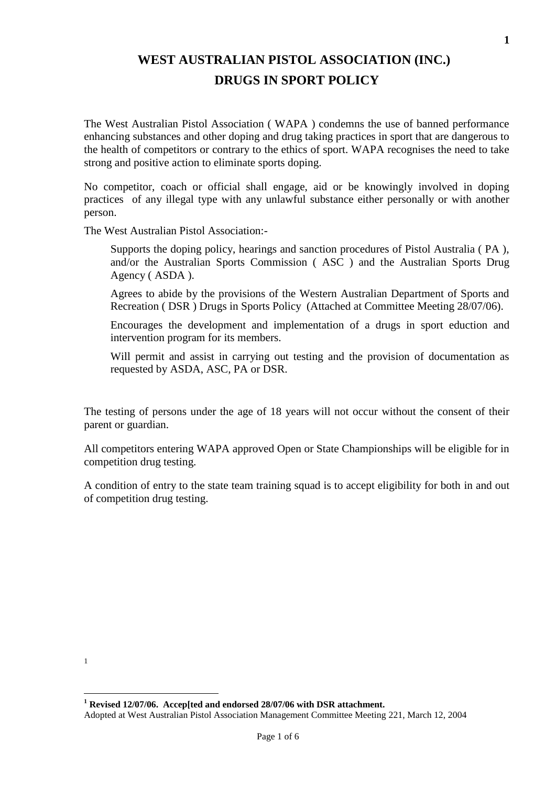# **WEST AUSTRALIAN PISTOL ASSOCIATION (INC.) DRUGS IN SPORT POLICY**

The West Australian Pistol Association ( WAPA ) condemns the use of banned performance enhancing substances and other doping and drug taking practices in sport that are dangerous to the health of competitors or contrary to the ethics of sport. WAPA recognises the need to take strong and positive action to eliminate sports doping.

No competitor, coach or official shall engage, aid or be knowingly involved in doping practices of any illegal type with any unlawful substance either personally or with another person.

The West Australian Pistol Association:-

Supports the doping policy, hearings and sanction procedures of Pistol Australia ( PA ), and/or the Australian Sports Commission ( ASC ) and the Australian Sports Drug Agency ( ASDA ).

Agrees to abide by the provisions of the Western Australian Department of Sports and Recreation ( DSR ) Drugs in Sports Policy (Attached at Committee Meeting 28/07/06).

Encourages the development and implementation of a drugs in sport eduction and intervention program for its members.

Will permit and assist in carrying out testing and the provision of documentation as requested by ASDA, ASC, PA or DSR.

The testing of persons under the age of 18 years will not occur without the consent of their parent or guardian.

All competitors entering WAPA approved Open or State Championships will be eligible for in competition drug testing.

A condition of entry to the state team training squad is to accept eligibility for both in and out of competition drug testing.

<sup>1</sup>

Adopted at West Australian Pistol Association Management Committee Meeting 221, March 12, 2004 **<sup>1</sup> Revised 12/07/06. Accep[ted and endorsed 28/07/06 with DSR attachment.**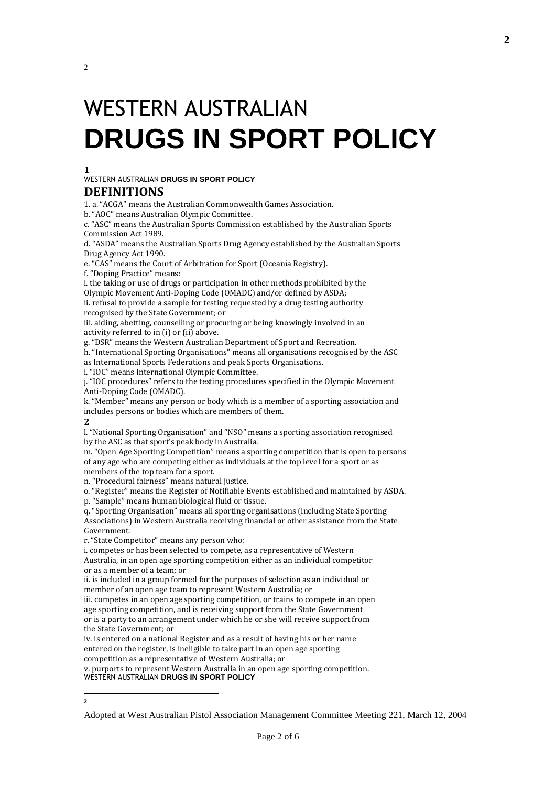# WESTERN AUSTRALIAN **DRUGS IN SPORT POLICY**

#### **1**

2

WESTERN AUSTRALIAN **DRUGS IN SPORT POLICY**

#### **DEFINITIONS**

1. a. "ACGA" means the Australian Commonwealth Games Association.

b. "AOC" means Australian Olympic Committee.

c. "ASC" means the Australian Sports Commission established by the Australian Sports Commission Act 1989.

d. "ASDA" means the Australian Sports Drug Agency established by the Australian Sports Drug Agency Act 1990.

e. "CAS" means the Court of Arbitration for Sport (Oceania Registry).

f. "Doping Practice" means:

i. the taking or use of drugs or participation in other methods prohibited by the Olympic Movement Anti-Doping Code (OMADC) and/or defined by ASDA;

ii. refusal to provide a sample for testing requested by a drug testing authority recognised by the State Government; or

iii. aiding, abetting, counselling or procuring or being knowingly involved in an activity referred to in (i) or (ii) above.

g. "DSR" means the Western Australian Department of Sport and Recreation.

h. "International Sporting Organisations" means all organisations recognised by the ASC as International Sports Federations and peak Sports Organisations.

i. "IOC" means International Olympic Committee.

j. "IOC procedures" refers to the testing procedures specified in the Olympic Movement Anti-Doping Code (OMADC).

k. "Member" means any person or body which is a member of a sporting association and includes persons or bodies which are members of them.

**2**

l. "National Sporting Organisation" and "NSO" means a sporting association recognised by the ASC as that sport's peak body in Australia.

m. "Open Age Sporting Competition" means a sporting competition that is open to persons of any age who are competing either as individuals at the top level for a sport or as members of the top team for a sport.

n. "Procedural fairness" means natural justice.

o. "Register" means the Register of Notifiable Events established and maintained by ASDA. p. "Sample" means human biological fluid or tissue.

q. "Sporting Organisation" means all sporting organisations (including State Sporting Associations) in Western Australia receiving financial or other assistance from the State Government.

r. "State Competitor" means any person who:

i. competes or has been selected to compete, as a representative of Western Australia, in an open age sporting competition either as an individual competitor or as a member of a team; or

ii. is included in a group formed for the purposes of selection as an individual or member of an open age team to represent Western Australia; or

iii. competes in an open age sporting competition, or trains to compete in an open age sporting competition, and is receiving support from the State Government or is a party to an arrangement under which he or she will receive support from the State Government; or

iv. is entered on a national Register and as a result of having his or her name entered on the register, is ineligible to take part in an open age sporting competition as a representative of Western Australia; or

v. purports to represent Western Australia in an open age sporting competition. WESTERN AUSTRALIAN **DRUGS IN SPORT POLICY**

 **2**

Adopted at West Australian Pistol Association Management Committee Meeting 221, March 12, 2004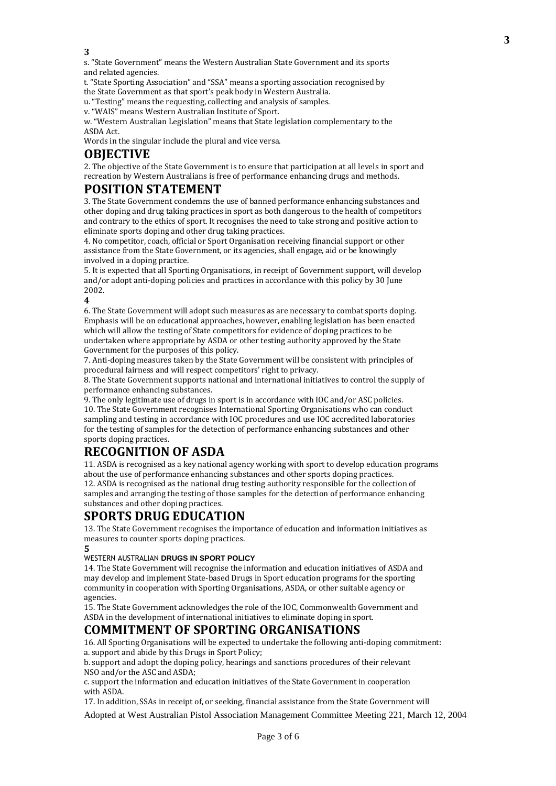**3**

s. "State Government" means the Western Australian State Government and its sports and related agencies.

t. "State Sporting Association" and "SSA" means a sporting association recognised by the State Government as that sport's peak body in Western Australia.

u. "Testing" means the requesting, collecting and analysis of samples.

v. "WAIS" means Western Australian Institute of Sport.

w. "Western Australian Legislation" means that State legislation complementary to the ASDA Act.

Words in the singular include the plural and vice versa.

### **OBJECTIVE**

2. The objective of the State Government is to ensure that participation at all levels in sport and recreation by Western Australians is free of performance enhancing drugs and methods.

### **POSITION STATEMENT**

3. The State Government condemns the use of banned performance enhancing substances and other doping and drug taking practices in sport as both dangerous to the health of competitors and contrary to the ethics of sport. It recognises the need to take strong and positive action to eliminate sports doping and other drug taking practices.

4. No competitor, coach, official or Sport Organisation receiving financial support or other assistance from the State Government, or its agencies, shall engage, aid or be knowingly involved in a doping practice.

5. It is expected that all Sporting Organisations, in receipt of Government support, will develop and/or adopt anti-doping policies and practices in accordance with this policy by 30 June 2002.

**4**

6. The State Government will adopt such measures as are necessary to combat sports doping. Emphasis will be on educational approaches, however, enabling legislation has been enacted which will allow the testing of State competitors for evidence of doping practices to be undertaken where appropriate by ASDA or other testing authority approved by the State Government for the purposes of this policy.

7. Anti-doping measures taken by the State Government will be consistent with principles of procedural fairness and will respect competitors' right to privacy.

8. The State Government supports national and international initiatives to control the supply of performance enhancing substances.

9. The only legitimate use of drugs in sport is in accordance with IOC and/or ASC policies. 10. The State Government recognises International Sporting Organisations who can conduct sampling and testing in accordance with IOC procedures and use IOC accredited laboratories for the testing of samples for the detection of performance enhancing substances and other sports doping practices.

# **RECOGNITION OF ASDA**

11. ASDA is recognised as a key national agency working with sport to develop education programs about the use of performance enhancing substances and other sports doping practices. 12. ASDA is recognised as the national drug testing authority responsible for the collection of samples and arranging the testing of those samples for the detection of performance enhancing substances and other doping practices.

# **SPORTS DRUG EDUCATION**

13. The State Government recognises the importance of education and information initiatives as measures to counter sports doping practices.

**5**

#### WESTERN AUSTRALIAN **DRUGS IN SPORT POLICY**

14. The State Government will recognise the information and education initiatives of ASDA and may develop and implement State-based Drugs in Sport education programs for the sporting community in cooperation with Sporting Organisations, ASDA, or other suitable agency or agencies.

15. The State Government acknowledges the role of the IOC, Commonwealth Government and ASDA in the development of international initiatives to eliminate doping in sport.

### **COMMITMENT OF SPORTING ORGANISATIONS**

16. All Sporting Organisations will be expected to undertake the following anti-doping commitment: a. support and abide by this Drugs in Sport Policy;

b. support and adopt the doping policy, hearings and sanctions procedures of their relevant NSO and/or the ASC and ASDA;

c. support the information and education initiatives of the State Government in cooperation with ASDA.

17. In addition, SSAs in receipt of, or seeking, financial assistance from the State Government will

Adopted at West Australian Pistol Association Management Committee Meeting 221, March 12, 2004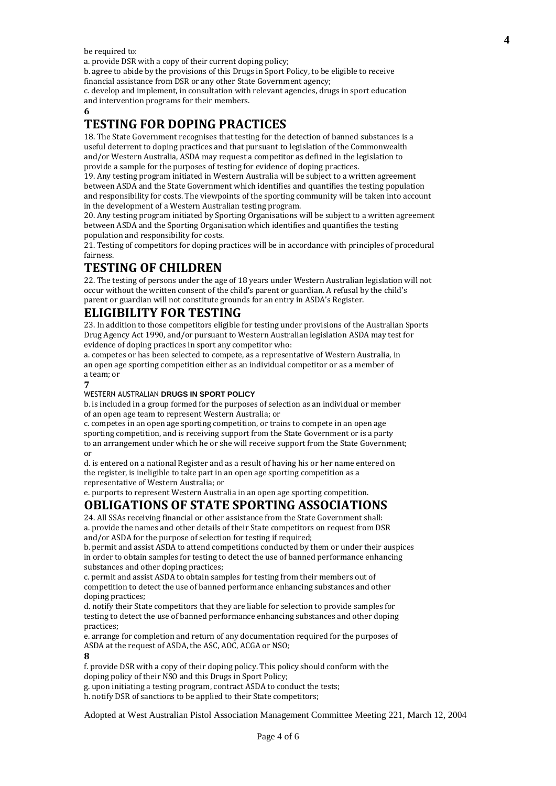be required to:

a. provide DSR with a copy of their current doping policy;

b. agree to abide by the provisions of this Drugs in Sport Policy, to be eligible to receive financial assistance from DSR or any other State Government agency;

c. develop and implement, in consultation with relevant agencies, drugs in sport education and intervention programs for their members.

#### **6**

# **TESTING FOR DOPING PRACTICES**

18. The State Government recognises that testing for the detection of banned substances is a useful deterrent to doping practices and that pursuant to legislation of the Commonwealth and/or Western Australia, ASDA may request a competitor as defined in the legislation to provide a sample for the purposes of testing for evidence of doping practices.

19. Any testing program initiated in Western Australia will be subject to a written agreement between ASDA and the State Government which identifies and quantifies the testing population and responsibility for costs. The viewpoints of the sporting community will be taken into account in the development of a Western Australian testing program.

20. Any testing program initiated by Sporting Organisations will be subject to a written agreement between ASDA and the Sporting Organisation which identifies and quantifies the testing population and responsibility for costs.

21. Testing of competitors for doping practices will be in accordance with principles of procedural fairness.

## **TESTING OF CHILDREN**

22. The testing of persons under the age of 18 years under Western Australian legislation will not occur without the written consent of the child's parent or guardian. A refusal by the child's parent or guardian will not constitute grounds for an entry in ASDA's Register.

# **ELIGIBILITY FOR TESTING**

23. In addition to those competitors eligible for testing under provisions of the Australian Sports Drug Agency Act 1990, and/or pursuant to Western Australian legislation ASDA may test for evidence of doping practices in sport any competitor who:

a. competes or has been selected to compete, as a representative of Western Australia, in an open age sporting competition either as an individual competitor or as a member of a team; or

#### **7**

#### WESTERN AUSTRALIAN **DRUGS IN SPORT POLICY**

b. is included in a group formed for the purposes of selection as an individual or member of an open age team to represent Western Australia; or

c. competes in an open age sporting competition, or trains to compete in an open age sporting competition, and is receiving support from the State Government or is a party to an arrangement under which he or she will receive support from the State Government; or

d. is entered on a national Register and as a result of having his or her name entered on the register, is ineligible to take part in an open age sporting competition as a representative of Western Australia; or

e. purports to represent Western Australia in an open age sporting competition.

#### **OBLIGATIONS OF STATE SPORTING ASSOCIATIONS**

24. All SSAs receiving financial or other assistance from the State Government shall: a. provide the names and other details of their State competitors on request from DSR and/or ASDA for the purpose of selection for testing if required:

b. permit and assist ASDA to attend competitions conducted by them or under their auspices in order to obtain samples for testing to detect the use of banned performance enhancing substances and other doping practices;

c. permit and assist ASDA to obtain samples for testing from their members out of competition to detect the use of banned performance enhancing substances and other doping practices;

d. notify their State competitors that they are liable for selection to provide samples for testing to detect the use of banned performance enhancing substances and other doping practices;

e. arrange for completion and return of any documentation required for the purposes of ASDA at the request of ASDA, the ASC, AOC, ACGA or NSO;

#### **8**

f. provide DSR with a copy of their doping policy. This policy should conform with the doping policy of their NSO and this Drugs in Sport Policy;

g. upon initiating a testing program, contract ASDA to conduct the tests;

h. notify DSR of sanctions to be applied to their State competitors;

Adopted at West Australian Pistol Association Management Committee Meeting 221, March 12, 2004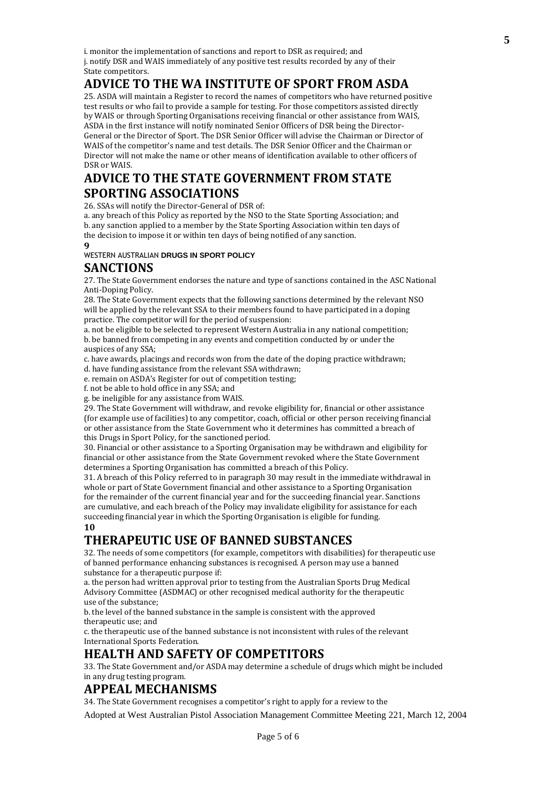### **ADVICE TO THE WA INSTITUTE OF SPORT FROM ASDA**

25. ASDA will maintain a Register to record the names of competitors who have returned positive test results or who fail to provide a sample for testing. For those competitors assisted directly by WAIS or through Sporting Organisations receiving financial or other assistance from WAIS, ASDA in the first instance will notify nominated Senior Officers of DSR being the Director-General or the Director of Sport. The DSR Senior Officer will advise the Chairman or Director of WAIS of the competitor's name and test details. The DSR Senior Officer and the Chairman or Director will not make the name or other means of identification available to other officers of DSR or WAIS.

## **ADVICE TO THE STATE GOVERNMENT FROM STATE SPORTING ASSOCIATIONS**

26. SSAs will notify the Director-General of DSR of:

a. any breach of this Policy as reported by the NSO to the State Sporting Association; and b. any sanction applied to a member by the State Sporting Association within ten days of the decision to impose it or within ten days of being notified of any sanction.

**9** WESTERN AUSTRALIAN **DRUGS IN SPORT POLICY**

### **SANCTIONS**

27. The State Government endorses the nature and type of sanctions contained in the ASC National Anti-Doping Policy.

28. The State Government expects that the following sanctions determined by the relevant NSO will be applied by the relevant SSA to their members found to have participated in a doping practice. The competitor will for the period of suspension:

a. not be eligible to be selected to represent Western Australia in any national competition; b. be banned from competing in any events and competition conducted by or under the auspices of any SSA;

c. have awards, placings and records won from the date of the doping practice withdrawn; d. have funding assistance from the relevant SSA withdrawn;

e. remain on ASDA's Register for out of competition testing;

f. not be able to hold office in any SSA; and

g. be ineligible for any assistance from WAIS.

29. The State Government will withdraw, and revoke eligibility for, financial or other assistance (for example use of facilities) to any competitor, coach, official or other person receiving financial or other assistance from the State Government who it determines has committed a breach of this Drugs in Sport Policy, for the sanctioned period.

30. Financial or other assistance to a Sporting Organisation may be withdrawn and eligibility for financial or other assistance from the State Government revoked where the State Government determines a Sporting Organisation has committed a breach of this Policy.

31. A breach of this Policy referred to in paragraph 30 may result in the immediate withdrawal in whole or part of State Government financial and other assistance to a Sporting Organisation for the remainder of the current financial year and for the succeeding financial year. Sanctions are cumulative, and each breach of the Policy may invalidate eligibility for assistance for each succeeding financial year in which the Sporting Organisation is eligible for funding.

**10**

# **THERAPEUTIC USE OF BANNED SUBSTANCES**

32. The needs of some competitors (for example, competitors with disabilities) for therapeutic use of banned performance enhancing substances is recognised. A person may use a banned substance for a therapeutic purpose if:

a. the person had written approval prior to testing from the Australian Sports Drug Medical Advisory Committee (ASDMAC) or other recognised medical authority for the therapeutic use of the substance;

b. the level of the banned substance in the sample is consistent with the approved therapeutic use; and

c. the therapeutic use of the banned substance is not inconsistent with rules of the relevant International Sports Federation.

### **HEALTH AND SAFETY OF COMPETITORS**

33. The State Government and/or ASDA may determine a schedule of drugs which might be included in any drug testing program.

#### **APPEAL MECHANISMS**

34. The State Government recognises a competitor's right to apply for a review to the

Adopted at West Australian Pistol Association Management Committee Meeting 221, March 12, 2004